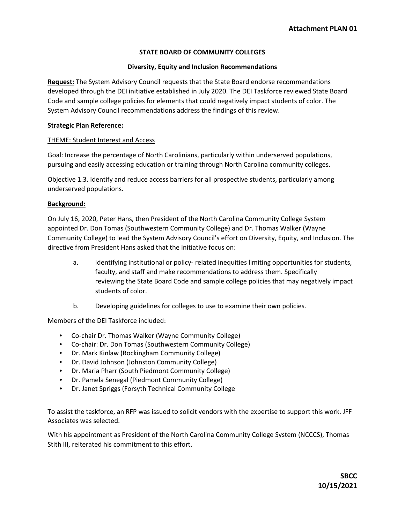## **STATE BOARD OF COMMUNITY COLLEGES**

### **Diversity, Equity and Inclusion Recommendations**

**Request:** The System Advisory Council requests that the State Board endorse recommendations developed through the DEI initiative established in July 2020. The DEI Taskforce reviewed State Board Code and sample college policies for elements that could negatively impact students of color. The System Advisory Council recommendations address the findings of this review.

### **Strategic Plan Reference:**

### THEME: Student Interest and Access

Goal: Increase the percentage of North Carolinians, particularly within underserved populations, pursuing and easily accessing education or training through North Carolina community colleges.

Objective 1.3. Identify and reduce access barriers for all prospective students, particularly among underserved populations.

### **Background:**

On July 16, 2020, Peter Hans, then President of the North Carolina Community College System appointed Dr. Don Tomas (Southwestern Community College) and Dr. Thomas Walker (Wayne Community College) to lead the System Advisory Council's effort on Diversity, Equity, and Inclusion. The directive from President Hans asked that the initiative focus on:

- a. Identifying institutional or policy- related inequities limiting opportunities for students, faculty, and staff and make recommendations to address them. Specifically reviewing the State Board Code and sample college policies that may negatively impact students of color.
- b. Developing guidelines for colleges to use to examine their own policies.

Members of the DEI Taskforce included:

- Co-chair Dr. Thomas Walker (Wayne Community College)
- Co-chair: Dr. Don Tomas (Southwestern Community College)
- Dr. Mark Kinlaw (Rockingham Community College)
- Dr. David Johnson (Johnston Community College)
- Dr. Maria Pharr (South Piedmont Community College)
- Dr. Pamela Senegal (Piedmont Community College)
- Dr. Janet Spriggs (Forsyth Technical Community College

To assist the taskforce, an RFP was issued to solicit vendors with the expertise to support this work. JFF Associates was selected.

With his appointment as President of the North Carolina Community College System (NCCCS), Thomas Stith III, reiterated his commitment to this effort.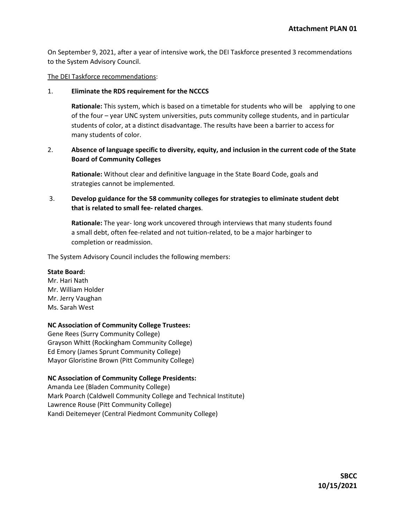On September 9, 2021, after a year of intensive work, the DEI Taskforce presented 3 recommendations to the System Advisory Council.

The DEI Taskforce recommendations:

### 1. **Eliminate the RDS requirement for the NCCCS**

**Rationale:** This system, which is based on a timetable for students who will be applying to one of the four – year UNC system universities, puts community college students, and in particular students of color, at a distinct disadvantage. The results have been a barrier to access for many students of color.

# 2. **Absence of language specific to diversity, equity, and inclusion in the current code of the State Board of Community Colleges**

**Rationale:** Without clear and definitive language in the State Board Code, goals and strategies cannot be implemented.

# 3. **Develop guidance for the 58 community colleges for strategies to eliminate student debt that is related to small fee- related charges**.

**Rationale:** The year- long work uncovered through interviews that many students found a small debt, often fee-related and not tuition-related, to be a major harbinger to completion or readmission.

The System Advisory Council includes the following members:

## **State Board:**

Mr. Hari Nath Mr. William Holder Mr. Jerry Vaughan Ms. Sarah West

## **NC Association of Community College Trustees:**

Gene Rees (Surry Community College) Grayson Whitt (Rockingham Community College) Ed Emory (James Sprunt Community College) Mayor Gloristine Brown (Pitt Community College)

## **NC Association of Community College Presidents:**

Amanda Lee (Bladen Community College) Mark Poarch (Caldwell Community College and Technical Institute) Lawrence Rouse (Pitt Community College) Kandi Deitemeyer (Central Piedmont Community College)